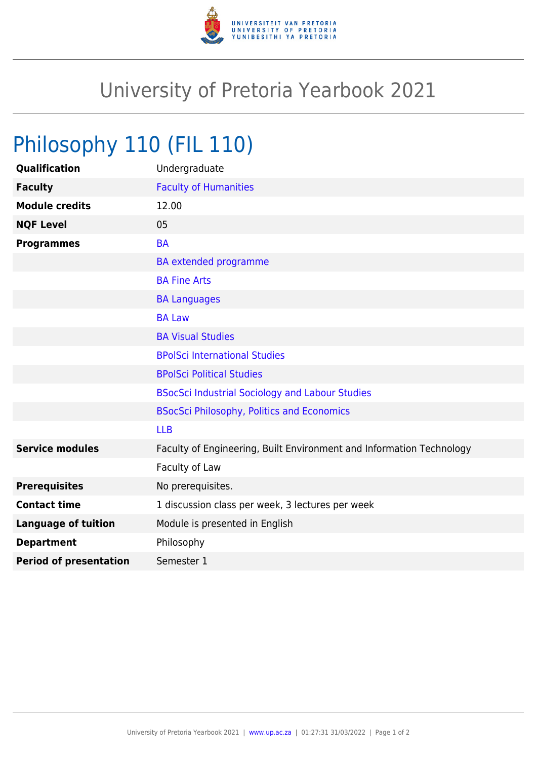

## University of Pretoria Yearbook 2021

## Philosophy 110 (FIL 110)

| Undergraduate                                                        |
|----------------------------------------------------------------------|
| <b>Faculty of Humanities</b>                                         |
| 12.00                                                                |
| 05                                                                   |
| <b>BA</b>                                                            |
| <b>BA</b> extended programme                                         |
| <b>BA Fine Arts</b>                                                  |
| <b>BA Languages</b>                                                  |
| <b>BA Law</b>                                                        |
| <b>BA Visual Studies</b>                                             |
| <b>BPolSci International Studies</b>                                 |
| <b>BPolSci Political Studies</b>                                     |
| <b>BSocSci Industrial Sociology and Labour Studies</b>               |
| <b>BSocSci Philosophy, Politics and Economics</b>                    |
| <b>LLB</b>                                                           |
| Faculty of Engineering, Built Environment and Information Technology |
| Faculty of Law                                                       |
| No prerequisites.                                                    |
| 1 discussion class per week, 3 lectures per week                     |
| Module is presented in English                                       |
| Philosophy                                                           |
| Semester 1                                                           |
|                                                                      |